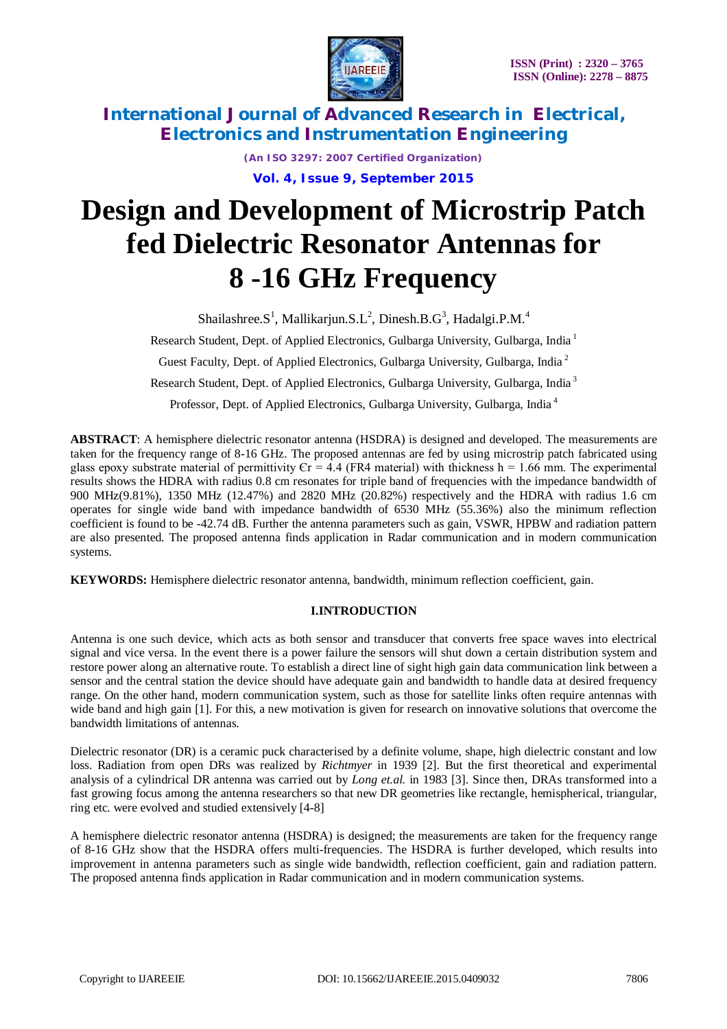

> *(An ISO 3297: 2007 Certified Organization)* **Vol. 4, Issue 9, September 2015**

# **Design and Development of Microstrip Patch fed Dielectric Resonator Antennas for 8 -16 GHz Frequency**

Shailashree.S<sup>1</sup>, Mallikarjun.S.L<sup>2</sup>, Dinesh.B.G<sup>3</sup>, Hadalgi.P.M.<sup>4</sup>

Research Student, Dept. of Applied Electronics, Gulbarga University, Gulbarga, India <sup>1</sup>

Guest Faculty, Dept. of Applied Electronics, Gulbarga University, Gulbarga, India <sup>2</sup>

Research Student, Dept. of Applied Electronics, Gulbarga University, Gulbarga, India <sup>3</sup>

Professor, Dept. of Applied Electronics, Gulbarga University, Gulbarga, India <sup>4</sup>

**ABSTRACT**: A hemisphere dielectric resonator antenna (HSDRA) is designed and developed. The measurements are taken for the frequency range of 8-16 GHz. The proposed antennas are fed by using microstrip patch fabricated using glass epoxy substrate material of permittivity  $Cr = 4.4$  (FR4 material) with thickness h = 1.66 mm. The experimental results shows the HDRA with radius 0.8 cm resonates for triple band of frequencies with the impedance bandwidth of 900 MHz(9.81%), 1350 MHz (12.47%) and 2820 MHz (20.82%) respectively and the HDRA with radius 1.6 cm operates for single wide band with impedance bandwidth of 6530 MHz (55.36%) also the minimum reflection coefficient is found to be -42.74 dB. Further the antenna parameters such as gain, VSWR, HPBW and radiation pattern are also presented. The proposed antenna finds application in Radar communication and in modern communication systems.

**KEYWORDS:** Hemisphere dielectric resonator antenna, bandwidth, minimum reflection coefficient, gain.

### **I.INTRODUCTION**

Antenna is one such device, which acts as both sensor and transducer that converts free space waves into electrical signal and vice versa. In the event there is a power failure the sensors will shut down a certain distribution system and restore power along an alternative route. To establish a direct line of sight high gain data communication link between a sensor and the central station the device should have adequate gain and bandwidth to handle data at desired frequency range. On the other hand, modern communication system, such as those for satellite links often require antennas with wide band and high gain [1]. For this, a new motivation is given for research on innovative solutions that overcome the bandwidth limitations of antennas.

Dielectric resonator (DR) is a ceramic puck characterised by a definite volume, shape, high dielectric constant and low loss. Radiation from open DRs was realized by *Richtmyer* in 1939 [2]. But the first theoretical and experimental analysis of a cylindrical DR antenna was carried out by *Long et.al.* in 1983 [3]. Since then, DRAs transformed into a fast growing focus among the antenna researchers so that new DR geometries like rectangle, hemispherical, triangular, ring etc. were evolved and studied extensively [4-8]

A hemisphere dielectric resonator antenna (HSDRA) is designed; the measurements are taken for the frequency range of 8-16 GHz show that the HSDRA offers multi-frequencies. The HSDRA is further developed, which results into improvement in antenna parameters such as single wide bandwidth, reflection coefficient, gain and radiation pattern. The proposed antenna finds application in Radar communication and in modern communication systems.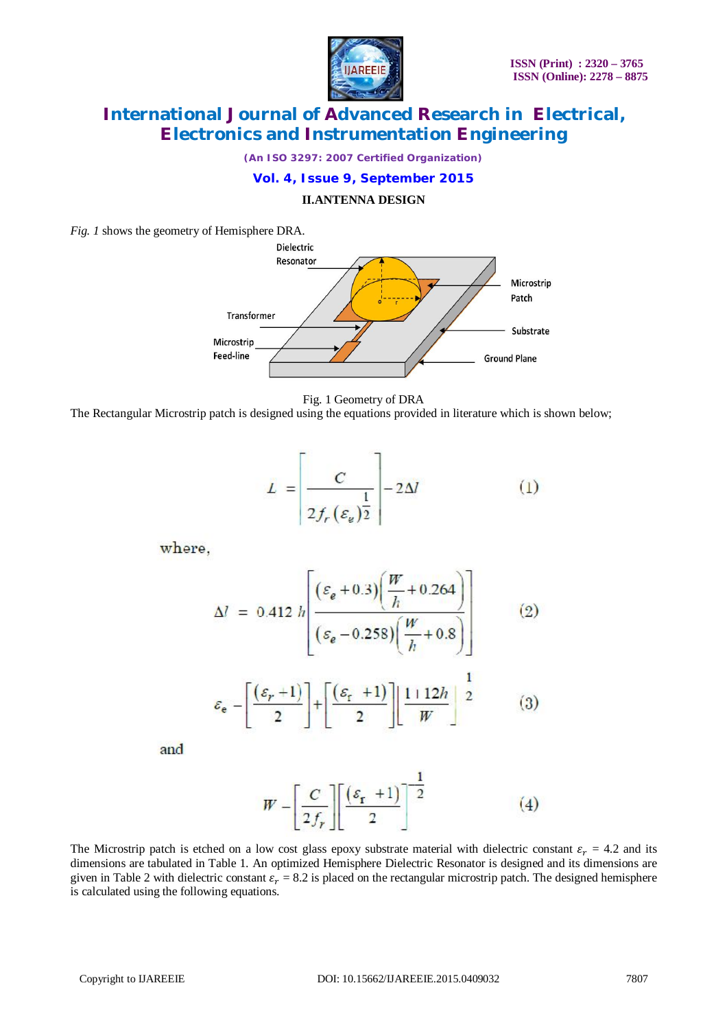

*(An ISO 3297: 2007 Certified Organization)*

### **Vol. 4, Issue 9, September 2015**

#### **II.ANTENNA DESIGN**

*Fig. 1* shows the geometry of Hemisphere DRA.





The Rectangular Microstrip patch is designed using the equations provided in literature which is shown below;

$$
L = \left[\frac{C}{2f_r(\varepsilon_\nu)^{\frac{1}{2}}}\right] - 2\Delta l \tag{1}
$$

where,

$$
\Delta l = 0.412 h \left[ \frac{(\varepsilon_e + 0.3) \left( \frac{W}{h} + 0.264 \right)}{(\varepsilon_e - 0.258) \left( \frac{W}{h} + 0.8 \right)} \right]
$$
(2)

$$
\varepsilon_{\mathbf{e}} - \left[ \frac{(\varepsilon_r + 1)}{2} \right] + \left[ \frac{(\varepsilon_r + 1)}{2} \right] \left[ \frac{1 + 12h}{W} \right]^2 \tag{3}
$$

and

$$
W - \left[\frac{C}{2f_r}\right] \left[\frac{(\varepsilon_r + 1)}{2}\right]^{-\frac{1}{2}} \tag{4}
$$

The Microstrip patch is etched on a low cost glass epoxy substrate material with dielectric constant  $\varepsilon_r = 4.2$  and its dimensions are tabulated in Table 1. An optimized Hemisphere Dielectric Resonator is designed and its dimensions are given in Table 2 with dielectric constant  $\varepsilon_r = 8.2$  is placed on the rectangular microstrip patch. The designed hemisphere is calculated using the following equations.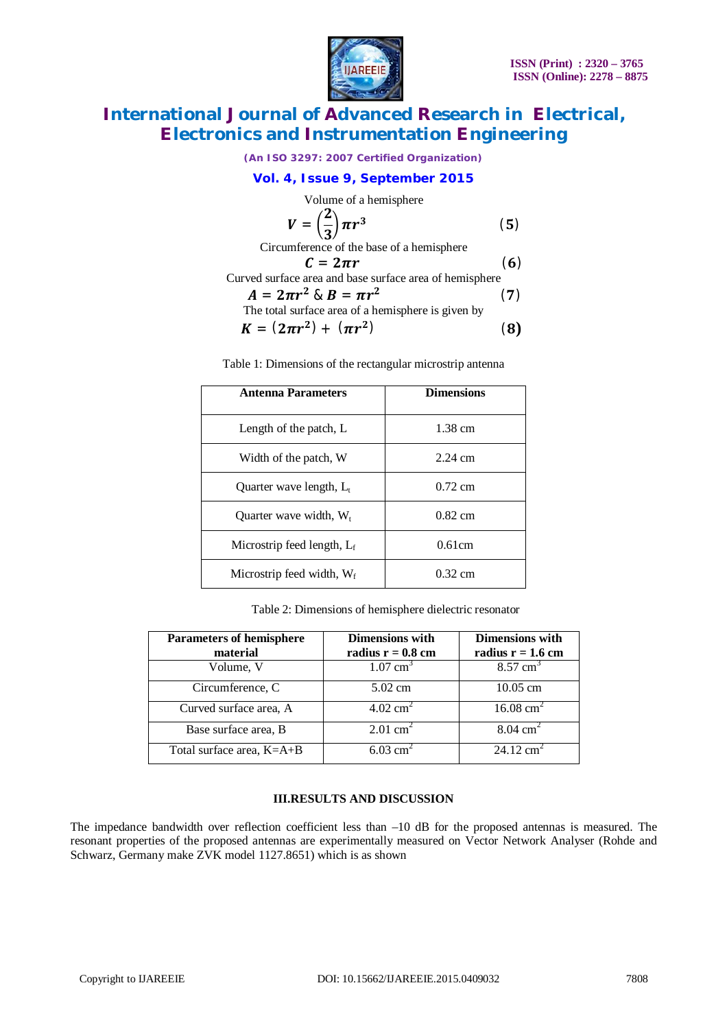

*(An ISO 3297: 2007 Certified Organization)*

### **Vol. 4, Issue 9, September 2015**

Volume of a hemisphere

$$
V = \left(\frac{2}{3}\right)\pi r^3 \tag{5}
$$

Circumference of the base of a hemisphere

$$
C = 2\pi r \tag{6}
$$

Curved surface area and base surface area of hemisphere  $\mathbf{A}$   $\mathbf{B}$  $\mathbf{r}^2$  0.  $\mathbf{D}$  $\mathbf{z}$  $(7)$ 

$$
A = 2\pi r^2 \& B = \pi r^2
$$
  
The total surface area of a hemisphere is given by

$$
K = (2\pi r^2) + (\pi r^2)
$$
 (8)

Table 1: Dimensions of the rectangular microstrip antenna

| <b>Antenna Parameters</b>     | <b>Dimensions</b> |
|-------------------------------|-------------------|
| Length of the patch, L        | 1.38 cm           |
| Width of the patch, W         | $2.24$ cm         |
| Quarter wave length, L        | $0.72$ cm         |
| Ouarter wave width, $W_t$     | $0.82 \text{ cm}$ |
| Microstrip feed length, $L_f$ | 0.61cm            |
| Microstrip feed width, $W_f$  | $0.32$ cm         |

Table 2: Dimensions of hemisphere dielectric resonator

| <b>Parameters of hemisphere</b><br>material | <b>Dimensions with</b><br>radius $r = 0.8$ cm | <b>Dimensions with</b><br>radius $r = 1.6$ cm |
|---------------------------------------------|-----------------------------------------------|-----------------------------------------------|
| Volume, V                                   | $1.07 \text{ cm}^3$                           | $8.57 \text{ cm}^3$                           |
| Circumference, C                            | $5.02$ cm                                     | $10.05$ cm                                    |
| Curved surface area, A                      | $4.02 \text{ cm}^2$                           | $16.08 \text{ cm}^2$                          |
| Base surface area, B                        | $2.01$ cm <sup>2</sup>                        | $8.04 \text{ cm}^2$                           |
| Total surface area, K=A+B                   | $6.03$ cm <sup>2</sup>                        | $24.12 \text{ cm}^2$                          |

#### **III.RESULTS AND DISCUSSION**

The impedance bandwidth over reflection coefficient less than –10 dB for the proposed antennas is measured. The resonant properties of the proposed antennas are experimentally measured on Vector Network Analyser (Rohde and Schwarz, Germany make ZVK model 1127.8651) which is as shown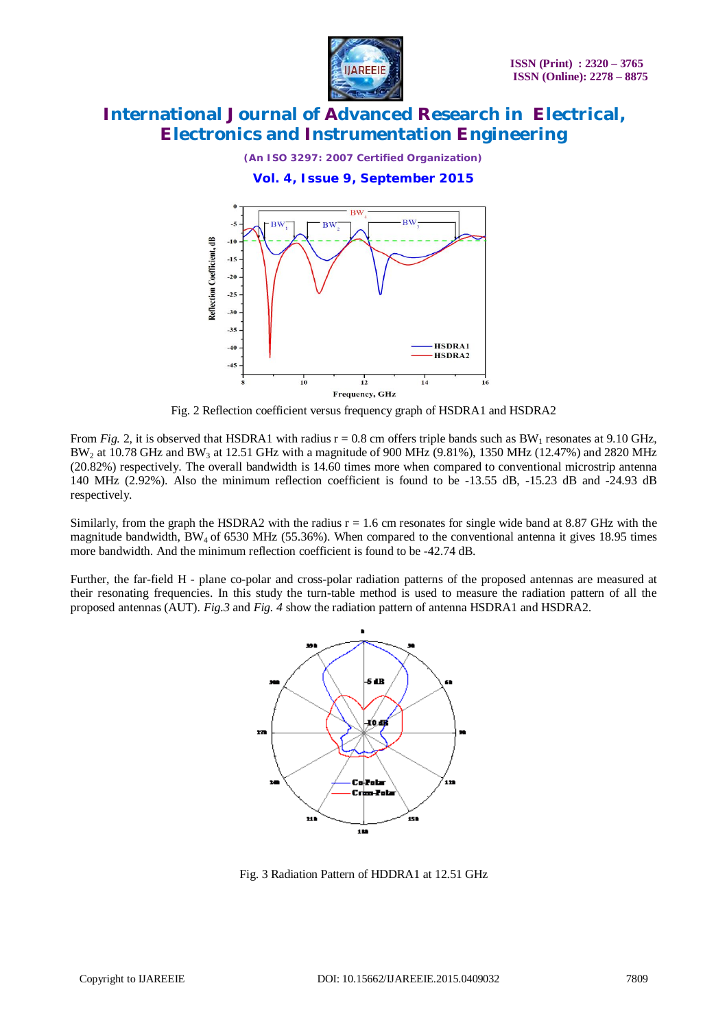

*(An ISO 3297: 2007 Certified Organization)*

**Vol. 4, Issue 9, September 2015**



Fig. 2 Reflection coefficient versus frequency graph of HSDRA1 and HSDRA2

From *Fig.* 2, it is observed that HSDRA1 with radius  $r = 0.8$  cm offers triple bands such as BW<sub>1</sub> resonates at 9.10 GHz,  $BW_2$  at 10.78 GHz and BW<sub>3</sub> at 12.51 GHz with a magnitude of 900 MHz (9.81%), 1350 MHz (12.47%) and 2820 MHz (20.82%) respectively. The overall bandwidth is 14.60 times more when compared to conventional microstrip antenna 140 MHz (2.92%). Also the minimum reflection coefficient is found to be -13.55 dB, -15.23 dB and -24.93 dB respectively.

Similarly, from the graph the HSDRA2 with the radius  $r = 1.6$  cm resonates for single wide band at 8.87 GHz with the magnitude bandwidth, BW4 of 6530 MHz (55.36%). When compared to the conventional antenna it gives 18.95 times more bandwidth. And the minimum reflection coefficient is found to be -42.74 dB.

Further, the far-field H - plane co-polar and cross-polar radiation patterns of the proposed antennas are measured at their resonating frequencies. In this study the turn-table method is used to measure the radiation pattern of all the proposed antennas (AUT). *Fig.3* and *Fig. 4* show the radiation pattern of antenna HSDRA1 and HSDRA2.



Fig. 3 Radiation Pattern of HDDRA1 at 12.51 GHz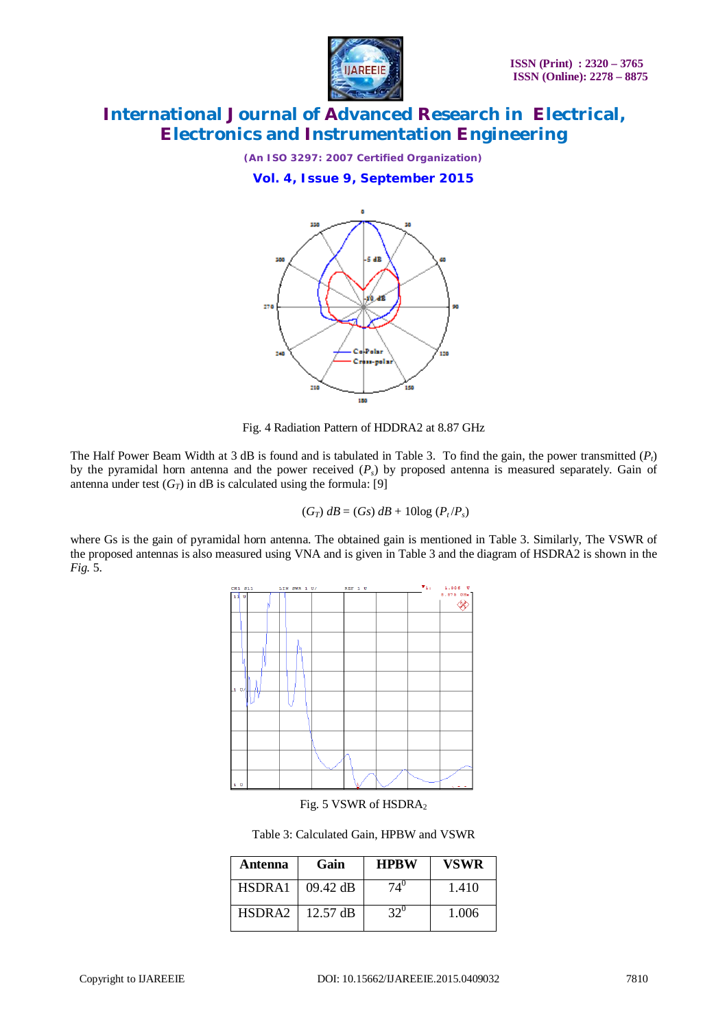

*(An ISO 3297: 2007 Certified Organization)*

**Vol. 4, Issue 9, September 2015**



Fig. 4 Radiation Pattern of HDDRA2 at 8.87 GHz

The Half Power Beam Width at 3 dB is found and is tabulated in Table 3. To find the gain, the power transmitted  $(P_t)$ by the pyramidal horn antenna and the power received  $(P_s)$  by proposed antenna is measured separately. Gain of antenna under test  $(G_T)$  in dB is calculated using the formula: [9]

$$
(G_T) dB = (Gs) dB + 10log (P_t/P_s)
$$

where Gs is the gain of pyramidal horn antenna. The obtained gain is mentioned in Table 3. Similarly, The VSWR of the proposed antennas is also measured using VNA and is given in Table 3 and the diagram of HSDRA2 is shown in the *Fig.* 5.



Fig. 5 VSWR of HSDRA<sub>2</sub>

Table 3: Calculated Gain, HPBW and VSWR

| Antenna            | Gain               | <b>HPRW</b>  | <b>VSWR</b> |
|--------------------|--------------------|--------------|-------------|
| HSDRA1             | $09.42 \text{ dB}$ | $74^{\circ}$ | 1.410       |
| HSDRA <sub>2</sub> | $12.57 \text{ dB}$ | $32^0$       | 1.006       |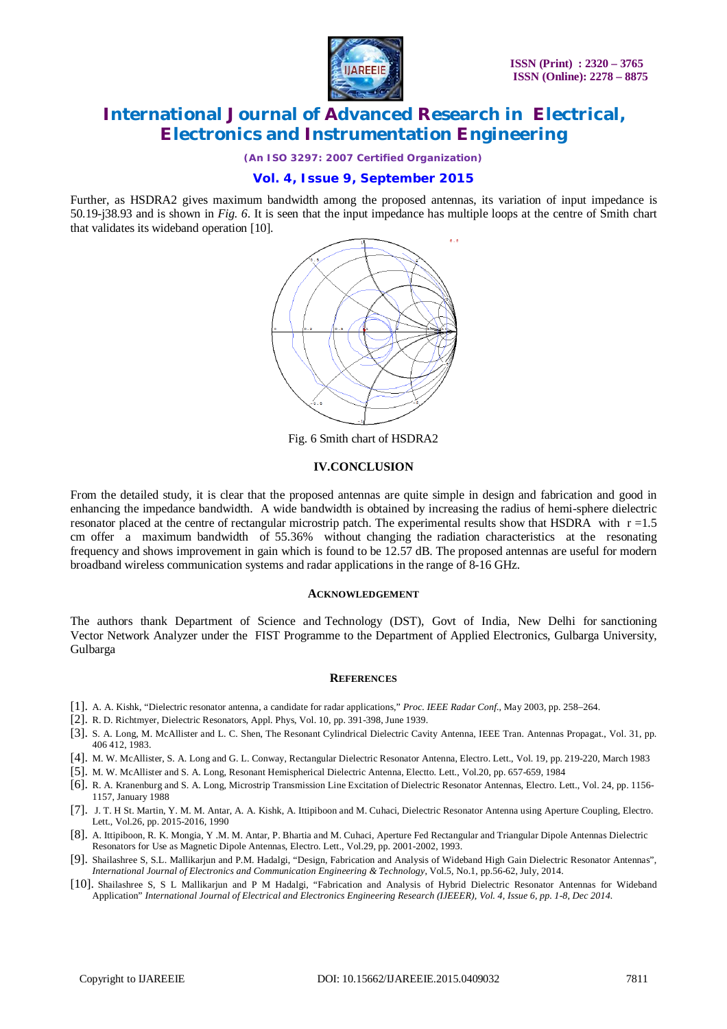

*(An ISO 3297: 2007 Certified Organization)*

### **Vol. 4, Issue 9, September 2015**

Further, as HSDRA2 gives maximum bandwidth among the proposed antennas, its variation of input impedance is 50.19-j38.93 and is shown in *Fig. 6*. It is seen that the input impedance has multiple loops at the centre of Smith chart that validates its wideband operation [10].



Fig. 6 Smith chart of HSDRA2

#### **IV.CONCLUSION**

From the detailed study, it is clear that the proposed antennas are quite simple in design and fabrication and good in enhancing the impedance bandwidth. A wide bandwidth is obtained by increasing the radius of hemi-sphere dielectric resonator placed at the centre of rectangular microstrip patch. The experimental results show that HSDRA with  $r = 1.5$ cm offer a maximum bandwidth of 55.36% without changing the radiation characteristics at the resonating frequency and shows improvement in gain which is found to be 12.57 dB. The proposed antennas are useful for modern broadband wireless communication systems and radar applications in the range of 8-16 GHz.

#### **ACKNOWLEDGEMENT**

The authors thank Department of Science and Technology (DST), Govt of India, New Delhi for sanctioning Vector Network Analyzer under the FIST Programme to the Department of Applied Electronics, Gulbarga University, Gulbarga

#### **REFERENCES**

- [1]. A. A. Kishk, "Dielectric resonator antenna, a candidate for radar applications," *Proc. IEEE Radar Conf.*, May 2003, pp. 258–264.
- [2]. R. D. Richtmyer, Dielectric Resonators, Appl. Phys, Vol. 10, pp. 391-398, June 1939.
- [3]. S. A. Long, M. McAllister and L. C. Shen, The Resonant Cylindrical Dielectric Cavity Antenna, IEEE Tran. Antennas Propagat., Vol. 31, pp. 406 412, 1983.
- [4]. M. W. McAllister, S. A. Long and G. L. Conway, Rectangular Dielectric Resonator Antenna, Electro. Lett., Vol. 19, pp. 219-220, March 1983
- [5]. M. W. McAllister and S. A. Long, Resonant Hemispherical Dielectric Antenna, Electto. Lett., Vol.20, pp. 657-659, 1984
- [6]. R. A. Kranenburg and S. A. Long, Microstrip Transmission Line Excitation of Dielectric Resonator Antennas, Electro. Lett., Vol. 24, pp. 1156- 1157, January 1988
- [7]. J. T. H St. Martin, Y. M. M. Antar, A. A. Kishk, A. Ittipiboon and M. Cuhaci, Dielectric Resonator Antenna using Aperture Coupling, Electro. Lett., Vol.26, pp. 2015-2016, 1990
- [8]. A. Ittipiboon, R. K. Mongia, Y .M. M. Antar, P. Bhartia and M. Cuhaci, Aperture Fed Rectangular and Triangular Dipole Antennas Dielectric Resonators for Use as Magnetic Dipole Antennas, Electro. Lett., Vol.29, pp. 2001-2002, 1993.
- [9]. Shailashree S, S.L. Mallikarjun and P.M. Hadalgi, "Design, Fabrication and Analysis of Wideband High Gain Dielectric Resonator Antennas", *International Journal of Electronics and Communication Engineering & Technology*, Vol.5, No.1, pp.56-62, July, 2014.
- [10]. Shailashree S, S L Mallikarjun and P M Hadalgi, "Fabrication and Analysis of Hybrid Dielectric Resonator Antennas for Wideband Application" *International Journal of Electrical and Electronics Engineering Research (IJEEER), Vol. 4, Issue 6, pp. 1-8, Dec 2014.*